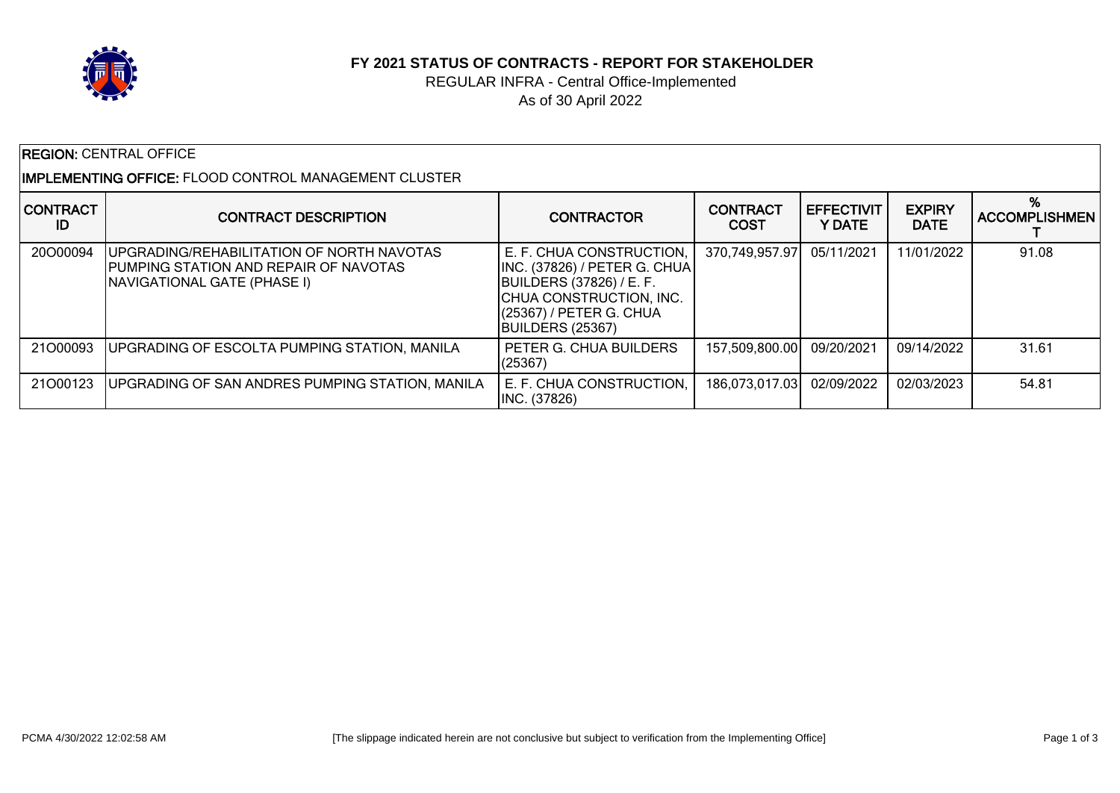

## **FY 2021 STATUS OF CONTRACTS - REPORT FOR STAKEHOLDER**

## REGULAR INFRA - Central Office-Implemented As of 30 April 2022

| <b>REGION: CENTRAL OFFICE</b>                                  |                                                                                                                                  |                                                                                                                                                                       |                                |                                    |                              |                      |  |
|----------------------------------------------------------------|----------------------------------------------------------------------------------------------------------------------------------|-----------------------------------------------------------------------------------------------------------------------------------------------------------------------|--------------------------------|------------------------------------|------------------------------|----------------------|--|
| I <b>IMPLEMENTING OFFICE:</b> FLOOD CONTROL MANAGEMENT CLUSTER |                                                                                                                                  |                                                                                                                                                                       |                                |                                    |                              |                      |  |
| <b>CONTRACT</b><br>ID                                          | <b>CONTRACT DESCRIPTION</b>                                                                                                      | <b>CONTRACTOR</b>                                                                                                                                                     | <b>CONTRACT</b><br><b>COST</b> | <b>EFFECTIVIT</b><br><b>Y DATE</b> | <b>EXPIRY</b><br><b>DATE</b> | <b>ACCOMPLISHMEN</b> |  |
| 20000094                                                       | <b>JUPGRADING/REHABILITATION OF NORTH NAVOTAS</b><br>PUMPING STATION AND REPAIR OF NAVOTAS<br><b>NAVIGATIONAL GATE (PHASE I)</b> | E. F. CHUA CONSTRUCTION.<br>INC. (37826) / PETER G. CHUA<br><b>BUILDERS (37826) / E. F.</b><br>CHUA CONSTRUCTION, INC.<br>(25367) / PETER G. CHUA<br>BUILDERS (25367) | 370,749,957.97                 | 05/11/2021                         | 11/01/2022                   | 91.08                |  |
| 21O00093                                                       | <b>UPGRADING OF ESCOLTA PUMPING STATION, MANILA</b>                                                                              | PETER G. CHUA BUILDERS<br>(25367)                                                                                                                                     | 157,509,800.00                 | 09/20/2021                         | 09/14/2022                   | 31.61                |  |
| 21000123                                                       | <b>JUPGRADING OF SAN ANDRES PUMPING STATION, MANILA</b>                                                                          | E. F. CHUA CONSTRUCTION,<br>INC. (37826)                                                                                                                              | 186,073,017.03                 | 02/09/2022                         | 02/03/2023                   | 54.81                |  |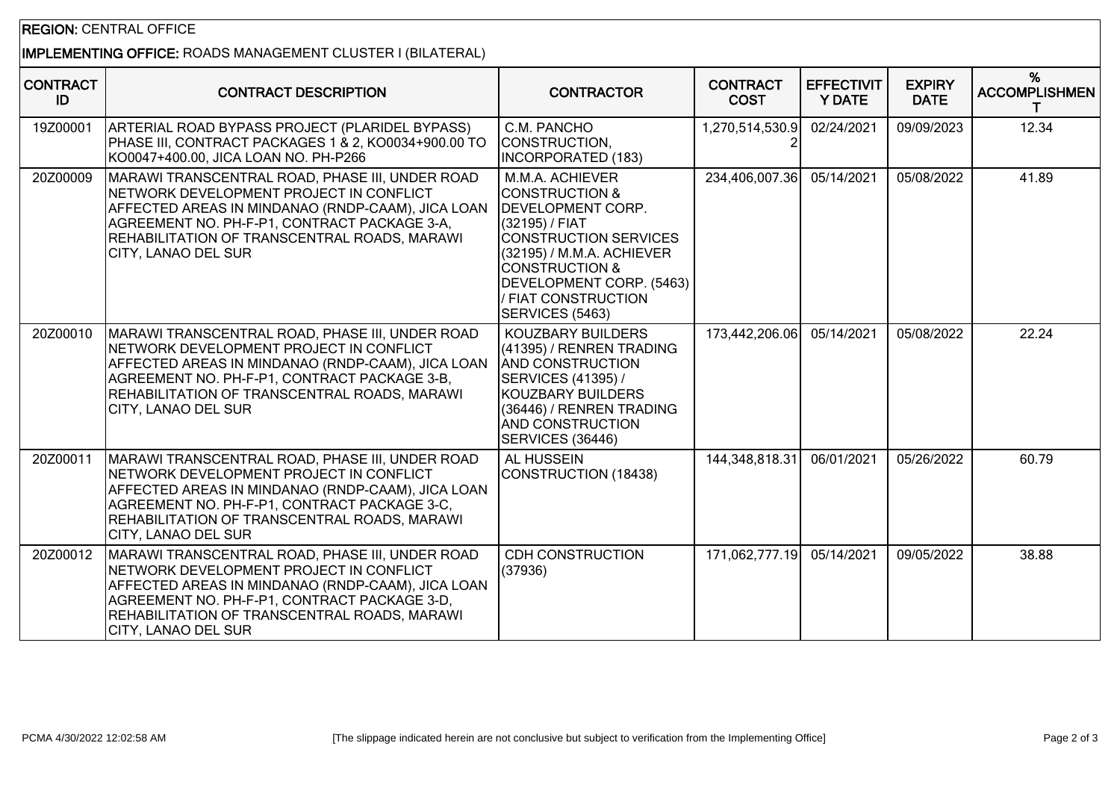## REGION: CENTRAL OFFICE

## IMPLEMENTING OFFICE: ROADS MANAGEMENT CLUSTER I (BILATERAL)

| <b>CONTRACT</b><br>ID | <b>CONTRACT DESCRIPTION</b>                                                                                                                                                                                                                                                   | <b>CONTRACTOR</b>                                                                                                                                                                                                                                           | <b>CONTRACT</b><br><b>COST</b> | <b>EFFECTIVIT</b><br><b>Y DATE</b> | <b>EXPIRY</b><br><b>DATE</b> | %<br><b>ACCOMPLISHMEN</b> |
|-----------------------|-------------------------------------------------------------------------------------------------------------------------------------------------------------------------------------------------------------------------------------------------------------------------------|-------------------------------------------------------------------------------------------------------------------------------------------------------------------------------------------------------------------------------------------------------------|--------------------------------|------------------------------------|------------------------------|---------------------------|
| 19Z00001              | ARTERIAL ROAD BYPASS PROJECT (PLARIDEL BYPASS)<br>PHASE III, CONTRACT PACKAGES 1 & 2, KO0034+900.00 TO<br>KO0047+400.00, JICA LOAN NO. PH-P266                                                                                                                                | C.M. PANCHO<br>CONSTRUCTION.<br><b>INCORPORATED (183)</b>                                                                                                                                                                                                   | 1,270,514,530.9                | 02/24/2021                         | 09/09/2023                   | 12.34                     |
| 20Z00009              | MARAWI TRANSCENTRAL ROAD, PHASE III, UNDER ROAD<br>NETWORK DEVELOPMENT PROJECT IN CONFLICT<br>AFFECTED AREAS IN MINDANAO (RNDP-CAAM), JICA LOAN<br>AGREEMENT NO. PH-F-P1, CONTRACT PACKAGE 3-A,<br>REHABILITATION OF TRANSCENTRAL ROADS, MARAWI<br>CITY, LANAO DEL SUR        | M.M.A. ACHIEVER<br><b>CONSTRUCTION &amp;</b><br><b>IDEVELOPMENT CORP.</b><br>(32195) / FIAT<br><b>CONSTRUCTION SERVICES</b><br>(32195) / M.M.A. ACHIEVER<br><b>CONSTRUCTION &amp;</b><br>DEVELOPMENT CORP. (5463)<br>/ FIAT CONSTRUCTION<br>SERVICES (5463) | 234,406,007.36                 | 05/14/2021                         | 05/08/2022                   | 41.89                     |
| 20Z00010              | MARAWI TRANSCENTRAL ROAD, PHASE III, UNDER ROAD<br>NETWORK DEVELOPMENT PROJECT IN CONFLICT<br>AFFECTED AREAS IN MINDANAO (RNDP-CAAM), JICA LOAN<br>AGREEMENT NO. PH-F-P1, CONTRACT PACKAGE 3-B,<br>REHABILITATION OF TRANSCENTRAL ROADS, MARAWI<br>CITY, LANAO DEL SUR        | KOUZBARY BUILDERS<br>(41395) / RENREN TRADING<br><b>AND CONSTRUCTION</b><br>SERVICES (41395) /<br><b>KOUZBARY BUILDERS</b><br>(36446) / RENREN TRADING<br><b>AND CONSTRUCTION</b><br>SERVICES (36446)                                                       | 173,442,206.06                 | 05/14/2021                         | 05/08/2022                   | 22.24                     |
| 20Z00011              | MARAWI TRANSCENTRAL ROAD, PHASE III, UNDER ROAD<br>NETWORK DEVELOPMENT PROJECT IN CONFLICT<br>AFFECTED AREAS IN MINDANAO (RNDP-CAAM), JICA LOAN<br>AGREEMENT NO. PH-F-P1, CONTRACT PACKAGE 3-C,<br>REHABILITATION OF TRANSCENTRAL ROADS, MARAWI<br>CITY, LANAO DEL SUR        | AL HUSSEIN<br>CONSTRUCTION (18438)                                                                                                                                                                                                                          | 144,348,818.31                 | 06/01/2021                         | 05/26/2022                   | 60.79                     |
| 20Z00012              | MARAWI TRANSCENTRAL ROAD, PHASE III, UNDER ROAD<br>NETWORK DEVELOPMENT PROJECT IN CONFLICT<br>AFFECTED AREAS IN MINDANAO (RNDP-CAAM), JICA LOAN<br>AGREEMENT NO. PH-F-P1, CONTRACT PACKAGE 3-D,<br>REHABILITATION OF TRANSCENTRAL ROADS, MARAWI<br><b>CITY, LANAO DEL SUR</b> | <b>CDH CONSTRUCTION</b><br>(37936)                                                                                                                                                                                                                          | 171,062,777.19                 | 05/14/2021                         | 09/05/2022                   | 38.88                     |